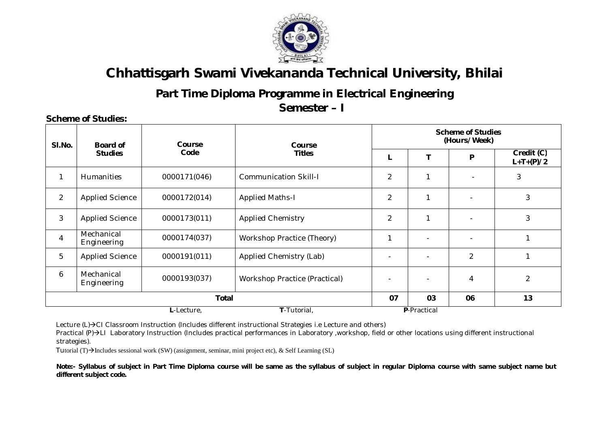

### **Part Time Diploma Programme in Electrical Engineering**

**Semester – I** 

#### **Sl.No. Board of Studies Course Code Course Titles Scheme of Studies (Hours/Week) L T P Credit (C) L+T+(P)/2** 1 | Humanities | 0000171(046) | Communication Skill-I | 2 | 1 | - | 3 2 Applied Science | 0000172(014) | Applied Maths-I | 2 | 1 | - | 3 3 Applied Science 0000173(011) Applied Chemistry 2 1 - 3 4 Mechanical<br>Engineering  $\begin{array}{c|c|c|c|c} \hline \text{0000174(037)} & & \text{Workshop Practice (Theory)} & & & 1 & & - & \end{array}$ 5 | Applied Science | 0000191(011) | Applied Chemistry (Lab) | - | - | 2 | 1 6 Mechanical Engineering  $\begin{array}{|c|c|c|c|c|c|c|c|c|}\n\hline\n\text{Equation:} & & & \text{0000193(037)} \ \hline\n\text{Equation:} & & & \text{E} & \text{E} & \text{E} & \text{E} & \text{E} & \text{E} & \text{E} & \text{E} & \text{E} & \text{E} & \text{E} & \text{E} & \text{E} & \text{E} & \text{E} & \text{E} & \text{E} & \text{E} & \text{E} & \text{E} & \text{E} & \text{E} & \text{E} &$ **Total 07 03 06 13 L**-Lecture, **T**-Tutorial, **P**-Practical

Lecture  $(L)\rightarrow C1$  Classroom Instruction (Includes different instructional Strategies i.e Lecture and others)

Practical (P)->LI Laboratory Instruction (Includes practical performances in Laboratory ,workshop, field or other locations using different instructional strategies).

Tutorial  $(T) \rightarrow$ Includes sessional work (SW) (assignment, seminar, mini project etc), & Self Learning (SL)

**Note:- Syllabus of subject in Part Time Diploma course will be same as the syllabus of subject in regular Diploma course with same subject name but different subject code.** 

#### **Scheme of Studies:**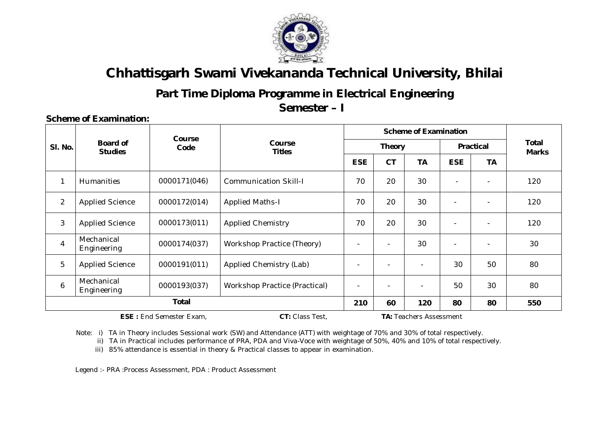

### **Part Time Diploma Programme in Electrical Engineering**

**Semester – I**

#### **Sl. No. Board of Studies Course Code Course Titles Scheme of Examination Total Marks Theory Practical ESE CT TA ESE TA** 1 Humanities 1 0000171(046) Communication Skill-I 1 70 20 30 - - 1 - 120 2 | Applied Science | 0000172(014) | Applied Maths-I  $\vert$  70 | 20 | 30 | - | - | 120 3 Applied Science 0000173(011) Applied Chemistry 70 20 30 - - 120 4 Mechanical Engineering  $\begin{array}{|c|c|c|c|c|c|c|c|c|}\n\hline\n \text{Equation:} & & \text{0000174(037)} \end{array}$  Workshop Practice (Theory)  $\begin{array}{|c|c|c|c|c|c|c|c|c|}\n\hline\n \text{Equation:} & & \text{1000} & \text{1000} & \text{1000} & \text{1000} & \text{1000} & \text{1000} & \text{1000} & \text{1000} & \text{1000}$ 5 | Applied Science | 0000191(011) | Applied Chemistry (Lab)  $\vert$  - | - | - | 30 | 50 | 80 6 Mechanical Engineering 0000193(037) Workshop Practice (Practical) - - - <sup>50</sup> <sup>30</sup> <sup>80</sup> **Total 210 60 120 80 80 550**

**ESE :** End Semester Exam, **CT:** Class Test, **TA:** Teachers Assessment

**Scheme of Examination:** 

Note: i) TA in Theory includes Sessional work (SW) and Attendance (ATT) with weightage of 70% and 30% of total respectively.

ii) TA in Practical includes performance of PRA, PDA and Viva-Voce with weightage of 50%, 40% and 10% of total respectively.

iii) 85% attendance is essential in theory & Practical classes to appear in examination.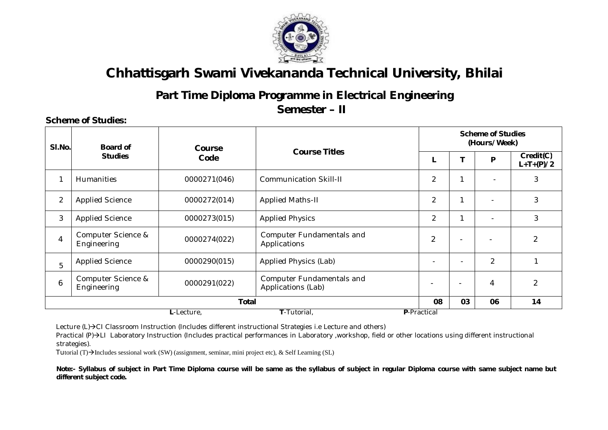

## **Part Time Diploma Programme in Electrical Engineering**

**Semester – II** 

#### **Scheme of Studies: Sl.No. Board of Studies Course Code Course Titles Scheme of Studies (Hours/Week) L T P Credit(C) L+T+(P)/2** 1 | Humanities | 0000271(046) | Communication Skill-II | 2 | 1 | - | 3 2 Applied Science 2 0000272(014) Applied Maths-II 2 1 - 3 3 | Applied Science | 0000273(015) | Applied Physics | 2 | 1 | - | 3 4 Computer Science & Computer Science & 0000274(022) Computer Fundamentals and<br>Engineering and Domain Computer Science Applications  $\left[\begin{array}{c|c} 2 & - & - \\ 2 & - & - \end{array}\right]$  - 2 5 Applied Science 0000290(015) Applied Physics (Lab) - - 2 1 6 Computer Science & Computer Science & 0000291(022) Computer Fundamentals and<br>Engineering 1990 Computer Computer Science  $\binom{1}{2}$ <br>Applications (Lab) **Total 08 03 06 14 L**-Lecture, **T**-Tutorial, **P**-Practical

Lecture (L)->CI Classroom Instruction (Includes different instructional Strategies i.e Lecture and others)

Practical (P) > LI Laboratory Instruction (Includes practical performances in Laboratory ,workshop, field or other locations using different instructional strategies).

Tutorial (T) $\rightarrow$ Includes sessional work (SW) (assignment, seminar, mini project etc), & Self Learning (SL)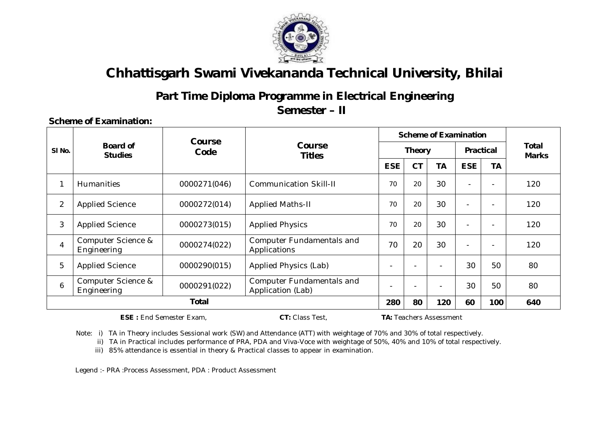

### **Part Time Diploma Programme in Electrical Engineering**

**Semester – II** 

### **Scheme of Examination:**

|                   |                                   | <b>Course</b> |                                                       | <b>Scheme of Examination</b>         |                          |           |                          |                          |                       |
|-------------------|-----------------------------------|---------------|-------------------------------------------------------|--------------------------------------|--------------------------|-----------|--------------------------|--------------------------|-----------------------|
| SI <sub>No.</sub> | <b>Board of</b><br><b>Studies</b> | Code          | <b>Course</b><br><b>Titles</b>                        |                                      | <b>Theory</b>            |           | <b>Practical</b>         |                          | Total<br><b>Marks</b> |
|                   |                                   |               |                                                       | <b>CT</b><br><b>ESE</b><br><b>TA</b> | <b>ESE</b>               | <b>TA</b> |                          |                          |                       |
| 1                 | <b>Humanities</b>                 | 0000271(046)  | <b>Communication Skill-II</b>                         | 70                                   | 20                       | 30        | $\overline{\phantom{0}}$ |                          | 120                   |
| $\overline{2}$    | <b>Applied Science</b>            | 0000272(014)  | <b>Applied Maths-II</b>                               | 70                                   | 20                       | 30        | $\overline{\phantom{0}}$ |                          | 120                   |
| 3                 | <b>Applied Science</b>            | 0000273(015)  | <b>Applied Physics</b>                                | 70                                   | 20                       | 30        | $\overline{\phantom{0}}$ |                          | 120                   |
| 4                 | Computer Science &<br>Engineering | 0000274(022)  | <b>Computer Fundamentals and</b><br>Applications      | 70                                   | 20                       | 30        | $\overline{\phantom{0}}$ | $\overline{\phantom{0}}$ | 120                   |
| 5                 | <b>Applied Science</b>            | 0000290(015)  | Applied Physics (Lab)                                 | $\overline{\phantom{a}}$             | $\overline{\phantom{0}}$ |           | 30                       | 50                       | 80                    |
| 6                 | Computer Science &<br>Engineering | 0000291(022)  | <b>Computer Fundamentals and</b><br>Application (Lab) |                                      |                          |           | 30                       | 50                       | 80                    |
|                   | <b>Total</b>                      |               |                                                       |                                      | 80                       | 120       | 60                       | 100                      | 640                   |

**ESE :** End Semester Exam, **CT:** Class Test, **TA:** Teachers Assessment

Note: i) TA in Theory includes Sessional work (SW) and Attendance (ATT) with weightage of 70% and 30% of total respectively.

ii) TA in Practical includes performance of PRA, PDA and Viva-Voce with weightage of 50%, 40% and 10% of total respectively.

iii) 85% attendance is essential in theory & Practical classes to appear in examination.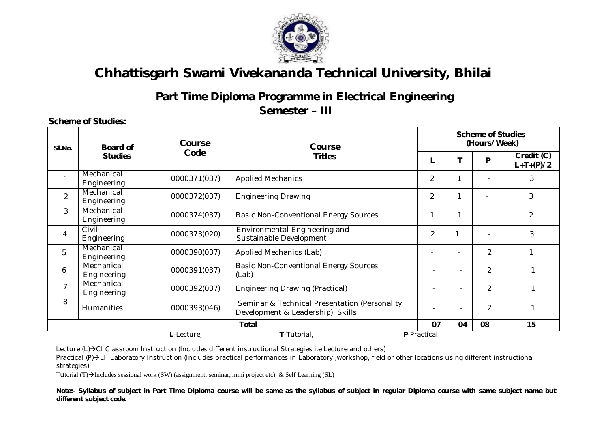

### **Part Time Diploma Programme in Electrical Engineering**

**Semester – III**

| SI.No.         | Board of<br><b>Studies</b> | <b>Course</b> | Course                                                                            |                              | <b>Scheme of Studies</b><br>(Hours/Week) |                |                           |  |  |  |
|----------------|----------------------------|---------------|-----------------------------------------------------------------------------------|------------------------------|------------------------------------------|----------------|---------------------------|--|--|--|
|                |                            | Code          | <b>Titles</b>                                                                     |                              |                                          | P              | Credit (C)<br>$L+T+(P)/2$ |  |  |  |
|                | Mechanical<br>Engineering  | 0000371(037)  | <b>Applied Mechanics</b>                                                          | $\overline{2}$               |                                          |                | 3                         |  |  |  |
| $\overline{2}$ | Mechanical<br>Engineering  | 0000372(037)  | <b>Engineering Drawing</b>                                                        | $\overline{2}$               |                                          |                | 3                         |  |  |  |
| 3              | Mechanical<br>Engineering  | 0000374(037)  | <b>Basic Non-Conventional Energy Sources</b>                                      | 1                            | $\mathbf{1}$                             |                | $\overline{2}$            |  |  |  |
| 4              | Civil<br>Engineering       | 0000373(020)  | Environmental Engineering and<br>Sustainable Development                          | $\overline{2}$               |                                          |                | 3                         |  |  |  |
| 5              | Mechanical<br>Engineering  | 0000390(037)  | Applied Mechanics (Lab)                                                           |                              | $\overline{\phantom{0}}$                 | $\overline{2}$ |                           |  |  |  |
| 6              | Mechanical<br>Engineering  | 0000391(037)  | <b>Basic Non-Conventional Energy Sources</b><br>(Lab)                             | $\overline{\phantom{0}}$     | $\blacksquare$                           | $\mathfrak{p}$ |                           |  |  |  |
| $\overline{7}$ | Mechanical<br>Engineering  | 0000392(037)  | <b>Engineering Drawing (Practical)</b>                                            | $\qquad \qquad \blacksquare$ | $\overline{\phantom{a}}$                 | $\overline{2}$ |                           |  |  |  |
| 8              | <b>Humanities</b>          | 0000393(046)  | Seminar & Technical Presentation (Personality<br>Development & Leadership) Skills | ٠                            | $\overline{\phantom{0}}$                 | $\overline{2}$ |                           |  |  |  |
|                |                            |               | Total                                                                             | 07                           | 04                                       | 08             | 15                        |  |  |  |
|                |                            | L-Lecture,    | T-Tutorial,                                                                       | P-Practical                  |                                          |                |                           |  |  |  |

Lecture  $(L)\rightarrow C1$  Classroom Instruction (Includes different instructional Strategies i.e Lecture and others)

Practical (P)->LI Laboratory Instruction (Includes practical performances in Laboratory ,workshop, field or other locations using different instructional strategies).

Tutorial (T) $\rightarrow$ Includes sessional work (SW) (assignment, seminar, mini project etc), & Self Learning (SL)

**Scheme of Studies:**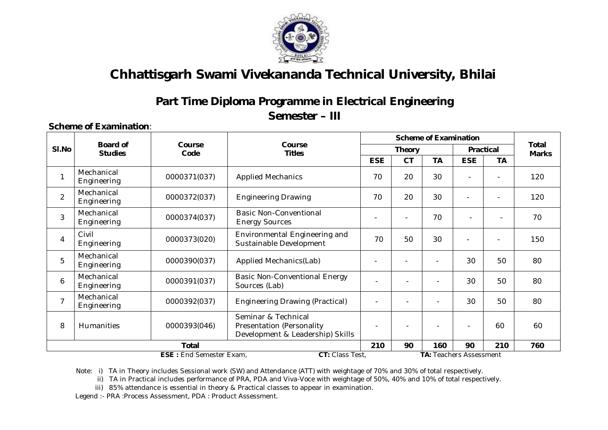

### **Part Time Diploma Programme in Electrical Engineering Semester – III**

#### **Scheme of Examination**:

|                |                                   |                                                   |                                                                                             | <b>Scheme of Examination</b> |                                |            |           |                          |                              |
|----------------|-----------------------------------|---------------------------------------------------|---------------------------------------------------------------------------------------------|------------------------------|--------------------------------|------------|-----------|--------------------------|------------------------------|
| SI.No          | <b>Board of</b><br><b>Studies</b> | Course<br>Code                                    | Course<br><b>Titles</b>                                                                     |                              | <b>Theory</b>                  |            |           | <b>Practical</b>         | <b>Total</b><br><b>Marks</b> |
|                |                                   |                                                   | <b>ESE</b>                                                                                  | <b>CT</b>                    | <b>TA</b>                      | <b>ESE</b> | <b>TA</b> |                          |                              |
| 1              | Mechanical<br>Engineering         | 0000371(037)                                      | <b>Applied Mechanics</b>                                                                    | 70                           | 20                             | 30         |           |                          | 120                          |
| $\overline{2}$ | Mechanical<br>Engineering         | 0000372(037)                                      | <b>Engineering Drawing</b>                                                                  | 70                           | 20                             | 30         |           |                          | 120                          |
| 3              | Mechanical<br>Engineering         | 0000374(037)                                      | <b>Basic Non-Conventional</b><br><b>Energy Sources</b>                                      |                              |                                | 70         |           | $\overline{\phantom{0}}$ | 70                           |
| 4              | Civil<br>Engineering              | 0000373(020)                                      | Environmental Engineering and<br>Sustainable Development                                    | 70                           | 50                             | 30         | ÷         |                          | 150                          |
| 5              | Mechanical<br>Engineering         | 0000390(037)                                      | Applied Mechanics(Lab)                                                                      |                              |                                |            | 30        | 50                       | 80                           |
| 6              | Mechanical<br>Engineering         | 0000391(037)                                      | <b>Basic Non-Conventional Energy</b><br>Sources (Lab)                                       |                              | ٠                              |            | 30        | 50                       | 80                           |
| $\overline{7}$ | Mechanical<br>Engineering         | 0000392(037)                                      | <b>Engineering Drawing (Practical)</b>                                                      |                              |                                |            | 30        | 50                       | 80                           |
| 8              | Humanities                        | 0000393(046)                                      | Seminar & Technical<br><b>Presentation (Personality</b><br>Development & Leadership) Skills |                              |                                |            |           | 60                       | 60                           |
|                | <b>Total</b>                      |                                                   |                                                                                             |                              | 90                             | 160        | 90        | 210                      | 760                          |
|                |                                   | <b>ESE: End Semester Exam,</b><br>CT: Class Test, |                                                                                             |                              | <b>TA: Teachers Assessment</b> |            |           |                          |                              |

Note: i) TA in Theory includes Sessional work (SW) and Attendance (ATT) with weightage of 70% and 30% of total respectively.

ii) TA in Practical includes performance of PRA, PDA and Viva-Voce with weightage of 50%, 40% and 10% of total respectively.

iii) 85% attendance is essential in theory & Practical classes to appear in examination.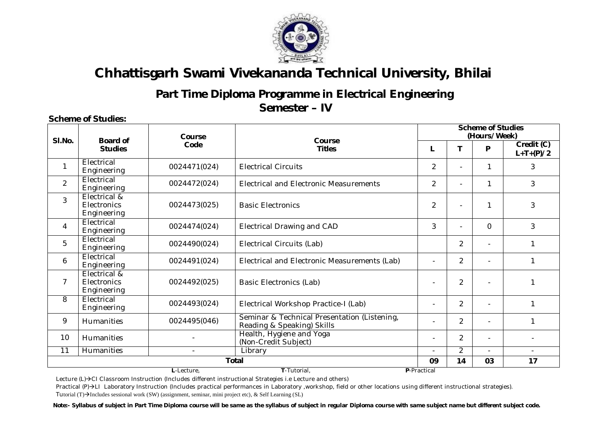

### **Part Time Diploma Programme in Electrical Engineering Semester – IV**

#### **Scheme of Studies:**

|                |                                            | Course<br><b>Board of</b> |                                                                            |                |                          |                          | <b>Scheme of Studies</b><br>(Hours/Week) |  |  |  |
|----------------|--------------------------------------------|---------------------------|----------------------------------------------------------------------------|----------------|--------------------------|--------------------------|------------------------------------------|--|--|--|
| SI.No.         | <b>Studies</b>                             | Code                      | Course<br><b>Titles</b>                                                    | т              |                          | P                        | Credit (C)<br>$L+T+(P)/2$                |  |  |  |
|                | Electrical<br>Engineering                  | 0024471(024)              | <b>Electrical Circuits</b>                                                 | 2              |                          | 1                        | 3                                        |  |  |  |
| $\overline{2}$ | Electrical<br>Engineering                  | 0024472(024)              | <b>Flectrical and Flectronic Measurements</b>                              | $\overline{2}$ |                          | 1                        | 3                                        |  |  |  |
| 3              | Electrical &<br>Electronics<br>Engineering | 0024473(025)              | <b>Basic Electronics</b>                                                   | $\overline{2}$ |                          | 1                        | 3                                        |  |  |  |
| 4              | Electrical<br>Engineering                  | 0024474(024)              | <b>Electrical Drawing and CAD</b>                                          | 3              | $\overline{\phantom{0}}$ | $\Omega$                 | 3                                        |  |  |  |
| 5              | Electrical<br>Engineering                  | 0024490(024)              | Electrical Circuits (Lab)                                                  |                | $\overline{2}$           | $\blacksquare$           |                                          |  |  |  |
| 6              | Electrical<br>Engineering                  | 0024491(024)              | Electrical and Electronic Measurements (Lab)                               |                | $\overline{2}$           |                          |                                          |  |  |  |
| $\overline{7}$ | Electrical &<br>Electronics<br>Engineering | 0024492(025)              | <b>Basic Electronics (Lab)</b>                                             |                | $\overline{2}$           | $\blacksquare$           |                                          |  |  |  |
| 8              | Electrical<br>Engineering                  | 0024493(024)              | Electrical Workshop Practice-I (Lab)                                       |                | $\overline{a}$           | $\blacksquare$           |                                          |  |  |  |
| 9              | <b>Humanities</b>                          | 0024495(046)              | Seminar & Technical Presentation (Listening,<br>Reading & Speaking) Skills |                | $\overline{2}$           | $\blacksquare$           | 1                                        |  |  |  |
| 10             | <b>Humanities</b>                          |                           | Health, Hygiene and Yoga<br>(Non-Credit Subject)                           |                | $\overline{2}$           | $\overline{\phantom{0}}$ |                                          |  |  |  |
| 11             | <b>Humanities</b>                          | $\overline{a}$            | Library                                                                    |                | $\overline{2}$           |                          |                                          |  |  |  |
|                |                                            |                           | <b>Total</b>                                                               | 09             | 14                       | 03                       | 17                                       |  |  |  |
|                | T-Tutorial.<br>P-Practical<br>L-Lecture,   |                           |                                                                            |                |                          |                          |                                          |  |  |  |

Lecture (L)→CI Classroom Instruction (Includes different instructional Strategies i.e Lecture and others)

Practical (P)->LI Laboratory Instruction (Includes practical performances in Laboratory ,workshop, field or other locations using different instructional strategies). Tutorial (T) $\rightarrow$ Includes sessional work (SW) (assignment, seminar, mini project etc), & Self Learning (SL)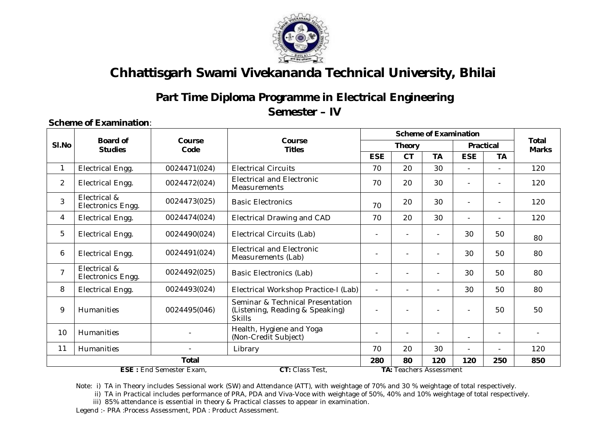

### **Part Time Diploma Programme in Electrical Engineering**

**Semester – IV**

### **Scheme of Examination**:

|                |                                                   |                |                                                                                      |                          |                          | <b>Scheme of Examination</b>   |                          |                          |                              |  |
|----------------|---------------------------------------------------|----------------|--------------------------------------------------------------------------------------|--------------------------|--------------------------|--------------------------------|--------------------------|--------------------------|------------------------------|--|
| SI.No          | <b>Board of</b><br><b>Studies</b>                 | Course<br>Code | Course<br><b>Titles</b>                                                              |                          | <b>Theory</b>            |                                | <b>Practical</b>         |                          | <b>Total</b><br><b>Marks</b> |  |
|                |                                                   |                |                                                                                      | <b>ESE</b>               | <b>CT</b>                | <b>TA</b>                      | <b>ESE</b>               | TА                       |                              |  |
| 1              | Electrical Engg.                                  | 0024471(024)   | <b>Electrical Circuits</b>                                                           | 70                       | 20                       | 30                             | $\blacksquare$           |                          | 120                          |  |
| $\overline{2}$ | <b>Electrical Engg.</b>                           | 0024472(024)   | <b>Electrical and Electronic</b><br><b>Measurements</b>                              | 70                       | 20                       | 30                             | $\blacksquare$           |                          | 120                          |  |
| 3              | Electrical &<br>Electronics Engg.                 | 0024473(025)   | <b>Basic Electronics</b>                                                             | 70                       | 20                       | 30                             | $\overline{\phantom{0}}$ | ٠                        | 120                          |  |
| 4              | Electrical Engg.                                  | 0024474(024)   | <b>Electrical Drawing and CAD</b>                                                    | 70                       | 20                       | 30                             | $\overline{\phantom{0}}$ | $\overline{\phantom{0}}$ | 120                          |  |
| 5              | Electrical Engg.                                  | 0024490(024)   | Electrical Circuits (Lab)                                                            |                          |                          |                                | 30                       | 50                       | 80                           |  |
| 6              | <b>Electrical Engg.</b>                           | 0024491(024)   | <b>Electrical and Electronic</b><br>Measurements (Lab)                               |                          |                          |                                | 30                       | 50                       | 80                           |  |
| $\overline{7}$ | Electrical &<br>Electronics Engg.                 | 0024492(025)   | <b>Basic Electronics (Lab)</b>                                                       |                          |                          |                                | 30                       | 50                       | 80                           |  |
| 8              | Electrical Engg.                                  | 0024493(024)   | Electrical Workshop Practice-I (Lab)                                                 | $\overline{\phantom{0}}$ | $\overline{\phantom{0}}$ |                                | 30                       | 50                       | 80                           |  |
| 9              | Humanities                                        | 0024495(046)   | Seminar & Technical Presentation<br>(Listening, Reading & Speaking)<br><b>Skills</b> |                          |                          |                                | $\overline{\phantom{0}}$ | 50                       | 50                           |  |
| 10             | <b>Humanities</b>                                 |                | Health, Hygiene and Yoga<br>(Non-Credit Subject)                                     |                          |                          |                                |                          | -                        | $\overline{\phantom{a}}$     |  |
| 11             | <b>Humanities</b>                                 |                | Library                                                                              | 70                       | 20                       | 30                             | $\overline{\phantom{0}}$ | $\overline{\phantom{0}}$ | 120                          |  |
|                | Total                                             |                |                                                                                      | 280                      | 80                       | 120                            | 120                      | 250                      | 850                          |  |
|                | <b>ESE: End Semester Exam,</b><br>CT: Class Test, |                |                                                                                      |                          |                          | <b>TA: Teachers Assessment</b> |                          |                          |                              |  |

Note: i) TA in Theory includes Sessional work (SW) and Attendance (ATT), with weightage of 70% and 30 % weightage of total respectively.

ii) TA in Practical includes performance of PRA, PDA and Viva-Voce with weightage of 50%, 40% and 10% weightage of total respectively.

iii) 85% attendance is essential in theory & Practical classes to appear in examination.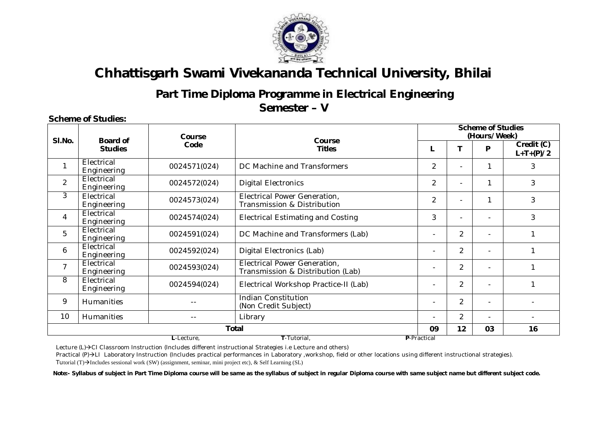

# **Part Time Diploma Programme in Electrical Engineering**

**Semester – V**

#### **Scheme of Studies:**

|                |                           | Course<br><b>Board of</b><br>Code<br><b>Studies</b> |                                                                   |                |                | <b>Scheme of Studies</b><br>(Hours/Week) |                           |  |  |  |  |
|----------------|---------------------------|-----------------------------------------------------|-------------------------------------------------------------------|----------------|----------------|------------------------------------------|---------------------------|--|--|--|--|
| SI.No.         |                           |                                                     | <b>Course</b><br><b>Titles</b>                                    |                | T              | P                                        | Credit (C)<br>$L+T+(P)/2$ |  |  |  |  |
| 1              | Electrical<br>Engineering | 0024571(024)                                        | DC Machine and Transformers                                       | $\overline{2}$ |                | 1                                        | 3                         |  |  |  |  |
| $\overline{2}$ | Electrical<br>Engineering | 0024572(024)                                        | <b>Digital Electronics</b>                                        | $\overline{2}$ | $\overline{a}$ | 1                                        | 3                         |  |  |  |  |
| 3              | Electrical<br>Engineering | 0024573(024)                                        | Electrical Power Generation,<br>Transmission & Distribution       | 2              | $\blacksquare$ | 1                                        | 3                         |  |  |  |  |
| 4              | Electrical<br>Engineering | 0024574(024)                                        | <b>Electrical Estimating and Costing</b>                          | 3              | $\overline{a}$ | $\blacksquare$                           | 3                         |  |  |  |  |
| 5              | Electrical<br>Engineering | 0024591(024)                                        | DC Machine and Transformers (Lab)                                 |                | $\overline{2}$ | $\overline{\phantom{0}}$                 |                           |  |  |  |  |
| 6              | Electrical<br>Engineering | 0024592(024)                                        | Digital Electronics (Lab)                                         |                | 2              | $\blacksquare$                           |                           |  |  |  |  |
| $\overline{7}$ | Electrical<br>Engineering | 0024593(024)                                        | Electrical Power Generation,<br>Transmission & Distribution (Lab) |                | $\overline{c}$ | $\blacksquare$                           |                           |  |  |  |  |
| 8              | Electrical<br>Engineering | 0024594(024)                                        | Electrical Workshop Practice-II (Lab)                             |                | $\overline{2}$ | $\blacksquare$                           |                           |  |  |  |  |
| 9              | <b>Humanities</b>         | $- -$                                               | <b>Indian Constitution</b><br>(Non Credit Subject)                |                | $\overline{2}$ | $\blacksquare$                           |                           |  |  |  |  |
| 10             | <b>Humanities</b>         | $- -$                                               | Library                                                           |                | $\overline{2}$ | $\overline{\phantom{0}}$                 |                           |  |  |  |  |
|                |                           |                                                     | Total                                                             | 09             | 12             | 03                                       | 16                        |  |  |  |  |
|                |                           | T-Tutorial.<br>L-Lecture.<br>P-Practical            |                                                                   |                |                |                                          |                           |  |  |  |  |

Lecture (L)->CI Classroom Instruction (Includes different instructional Strategies i.e Lecture and others)

Practical (P)->LI Laboratory Instruction (Includes practical performances in Laboratory ,workshop, field or other locations using different instructional strategies). Tutorial  $(T)$ ->Includes sessional work (SW) (assignment, seminar, mini project etc), & Self Learning (SL)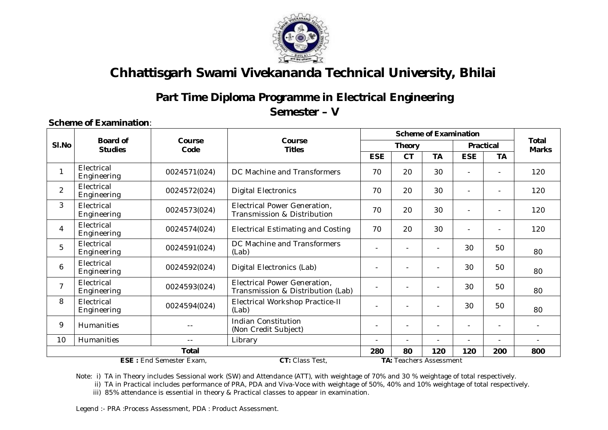

### **Part Time Diploma Programme in Electrical Engineering**

**Semester – V**

#### **Scheme of Examination**:

|                                                                                     |                                   |                          |                                                                    |                            | <b>Scheme of Examination</b> |              |                          |           | <b>Total</b> |
|-------------------------------------------------------------------------------------|-----------------------------------|--------------------------|--------------------------------------------------------------------|----------------------------|------------------------------|--------------|--------------------------|-----------|--------------|
| SI.No                                                                               | <b>Board of</b><br><b>Studies</b> | Course<br>Code           | Course<br><b>Titles</b>                                            | Practical<br><b>Theory</b> |                              | <b>Marks</b> |                          |           |              |
|                                                                                     |                                   |                          |                                                                    | <b>ESE</b>                 | <b>CT</b>                    | <b>TA</b>    | <b>ESE</b>               | <b>TA</b> |              |
| $\mathbf{1}$                                                                        | Electrical<br>Engineering         | 0024571(024)             | DC Machine and Transformers                                        | 70                         | 20                           | 30           |                          |           | 120          |
| $\overline{2}$                                                                      | Electrical<br>Engineering         | 0024572(024)             | <b>Digital Electronics</b>                                         | 70                         | 20                           | 30           | $\overline{\phantom{0}}$ |           | 120          |
| 3                                                                                   | Electrical<br>Engineering         | 0024573(024)             | <b>Electrical Power Generation,</b><br>Transmission & Distribution | 70                         | 20                           | 30           | $\blacksquare$           |           | 120          |
| 4                                                                                   | Electrical<br>Engineering         | 0024574(024)             | <b>Electrical Estimating and Costing</b>                           | 70                         | 20                           | 30           |                          |           | 120          |
| 5                                                                                   | Electrical<br>Engineering         | 0024591(024)             | DC Machine and Transformers<br>(Lab)                               |                            |                              |              | 30                       | 50        | 80           |
| 6                                                                                   | Electrical<br>Engineering         | 0024592(024)             | Digital Electronics (Lab)                                          |                            |                              |              | 30                       | 50        | 80           |
| $\overline{7}$                                                                      | Electrical<br>Engineering         | 0024593(024)             | Electrical Power Generation,<br>Transmission & Distribution (Lab)  |                            |                              |              | 30                       | 50        | 80           |
| 8                                                                                   | Electrical<br>Engineering         | 0024594(024)             | Electrical Workshop Practice-II<br>(Lab)                           |                            |                              |              | 30                       | 50        | 80           |
| 9                                                                                   | Humanities                        |                          | <b>Indian Constitution</b><br>(Non Credit Subject)                 |                            |                              |              |                          | ٠         |              |
| 10                                                                                  | Humanities                        | $\overline{\phantom{a}}$ | Library                                                            |                            |                              |              |                          |           |              |
|                                                                                     | <b>Total</b>                      |                          |                                                                    |                            | 80                           | 120          | 120                      | 200       | 800          |
| CT: Class Test,<br><b>ESE: End Semester Exam,</b><br><b>TA: Teachers Assessment</b> |                                   |                          |                                                                    |                            |                              |              |                          |           |              |

Note: i) TA in Theory includes Sessional work (SW) and Attendance (ATT), with weightage of 70% and 30 % weightage of total respectively.

ii) TA in Practical includes performance of PRA, PDA and Viva-Voce with weightage of 50%, 40% and 10% weightage of total respectively.

iii) 85% attendance is essential in theory & Practical classes to appear in examination.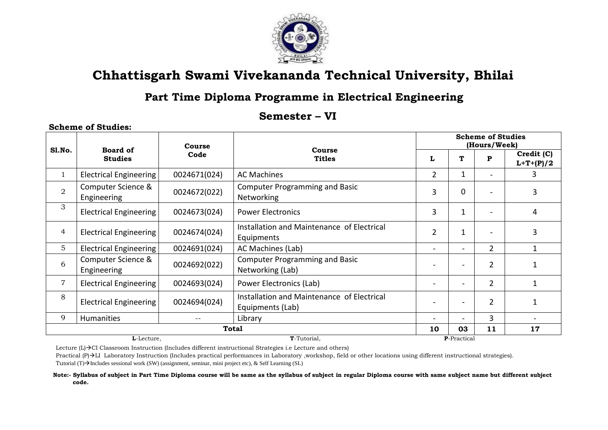

### **Part Time Diploma Programme in Electrical Engineering**

### **Semester – VI**

#### **Scheme of Studies:**

|                | Course                            |              |                                                                |                          |                          | <b>Scheme of Studies</b><br>(Hours/Week) |                           |  |
|----------------|-----------------------------------|--------------|----------------------------------------------------------------|--------------------------|--------------------------|------------------------------------------|---------------------------|--|
| Sl.No.         | <b>Board of</b><br><b>Studies</b> | Code         | Course<br><b>Titles</b>                                        | L                        | T                        | P                                        | Credit (C)<br>$L+T+(P)/2$ |  |
| 1              | Electrical Engineering            | 0024671(024) | <b>AC Machines</b>                                             | $\overline{2}$           | $\mathbf{1}$             |                                          | 3                         |  |
| $\overline{2}$ | Computer Science &<br>Engineering | 0024672(022) | <b>Computer Programming and Basic</b><br>Networking            | 3                        | 0                        | $\overline{\phantom{0}}$                 | 3                         |  |
| 3              | <b>Electrical Engineering</b>     | 0024673(024) | <b>Power Electronics</b>                                       | 3                        | 1                        | $\overline{a}$                           | 4                         |  |
| $\overline{4}$ | <b>Electrical Engineering</b>     | 0024674(024) | Installation and Maintenance of Electrical<br>Equipments       | $\overline{2}$           | $\mathbf 1$              | $\overline{a}$                           | 3                         |  |
| 5              | Electrical Engineering            | 0024691(024) | AC Machines (Lab)                                              | $\blacksquare$           | $\overline{\phantom{a}}$ | $\overline{2}$                           |                           |  |
| 6              | Computer Science &<br>Engineering | 0024692(022) | <b>Computer Programming and Basic</b><br>Networking (Lab)      | $\overline{\phantom{0}}$ | $\overline{\phantom{0}}$ | $\overline{2}$                           |                           |  |
| $\overline{7}$ | <b>Electrical Engineering</b>     | 0024693(024) | Power Electronics (Lab)                                        |                          |                          | $\overline{2}$                           |                           |  |
| 8              | <b>Electrical Engineering</b>     | 0024694(024) | Installation and Maintenance of Electrical<br>Equipments (Lab) |                          | $\overline{\phantom{a}}$ | $\overline{2}$                           | 1                         |  |
| 9              | Humanities                        |              | Library                                                        | $\overline{\phantom{0}}$ | $\blacksquare$           | 3                                        |                           |  |
|                |                                   |              | Total                                                          | 10                       | 03                       | 11                                       | 17                        |  |
|                | L-Lecture,                        |              | T-Tutorial,                                                    |                          | P-Practical              |                                          |                           |  |

Lecture  $(L) \rightarrow C$ I Classroom Instruction (Includes different instructional Strategies i.e Lecture and others)

Practical  $(P)$  $\rightarrow$ LI Laboratory Instruction (Includes practical performances in Laboratory ,workshop, field or other locations using different instructional strategies). Tutorial  $(T) \rightarrow$ Includes sessional work (SW) (assignment, seminar, mini project etc), & Self Learning (SL)